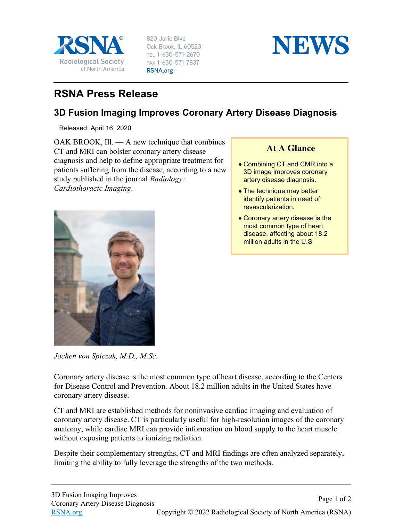

820 Jorie Blvd Oak Brook, IL 60523 TEL 1-630-571-2670 FAX 1-630-571-7837 RSNA.org



## **RSNA Press Release**

## **3D Fusion Imaging Improves Coronary Artery Disease Diagnosis**

Released: April 16, 2020

OAK BROOK, Ill. — A new technique that combines CT and MRI can bolster coronary artery disease diagnosis and help to define appropriate treatment for patients suffering from the disease, according to a new study published in the journal *Radiology: Cardiothoracic Imaging*.



*Jochen von Spiczak, M.D., M.Sc.*

## **At A Glance**

- Combining CT and CMR into a 3D image improves coronary artery disease diagnosis.
- The technique may better identify patients in need of revascularization.
- Coronary artery disease is the most common type of heart disease, affecting about 18.2 million adults in the U.S.

Coronary artery disease is the most common type of heart disease, according to the Centers for Disease Control and Prevention. About 18.2 million adults in the United States have coronary artery disease.

CT and MRI are established methods for noninvasive cardiac imaging and evaluation of coronary artery disease. CT is particularly useful for high-resolution images of the coronary anatomy, while cardiac MRI can provide information on blood supply to the heart muscle without exposing patients to ionizing radiation.

Despite their complementary strengths, CT and MRI findings are often analyzed separately, limiting the ability to fully leverage the strengths of the two methods.